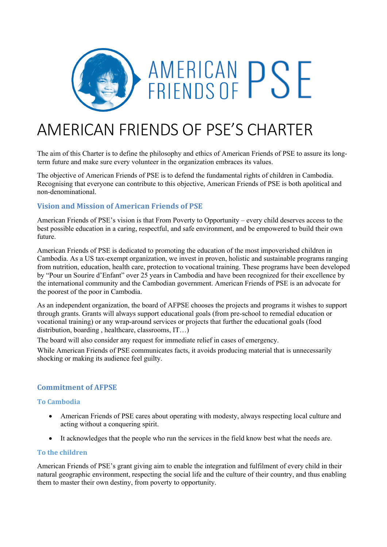

# AMERICAN FRIENDS OF PSE'S CHARTER

The aim of this Charter is to define the philosophy and ethics of American Friends of PSE to assure its longterm future and make sure every volunteer in the organization embraces its values.

The objective of American Friends of PSE is to defend the fundamental rights of children in Cambodia. Recognising that everyone can contribute to this objective, American Friends of PSE is both apolitical and non-denominational.

# **Vision and Mission of American Friends of PSE**

American Friends of PSE's vision is that From Poverty to Opportunity – every child deserves access to the best possible education in a caring, respectful, and safe environment, and be empowered to build their own future.

American Friends of PSE is dedicated to promoting the education of the most impoverished children in Cambodia. As a US tax-exempt organization, we invest in proven, holistic and sustainable programs ranging from nutrition, education, health care, protection to vocational training. These programs have been developed by "Pour un Sourire d'Enfant" over 25 years in Cambodia and have been recognized for their excellence by the international community and the Cambodian government. American Friends of PSE is an advocate for the poorest of the poor in Cambodia.

As an independent organization, the board of AFPSE chooses the projects and programs it wishes to support through grants. Grants will always support educational goals (from pre-school to remedial education or vocational training) or any wrap-around services or projects that further the educational goals (food distribution, boarding , healthcare, classrooms, IT…)

The board will also consider any request for immediate relief in cases of emergency.

While American Friends of PSE communicates facts, it avoids producing material that is unnecessarily shocking or making its audience feel guilty.

# **Commitment of AFPSE**

### **To Cambodia**

- American Friends of PSE cares about operating with modesty, always respecting local culture and acting without a conquering spirit.
- It acknowledges that the people who run the services in the field know best what the needs are.

### **To the children**

American Friends of PSE's grant giving aim to enable the integration and fulfilment of every child in their natural geographic environment, respecting the social life and the culture of their country, and thus enabling them to master their own destiny, from poverty to opportunity.